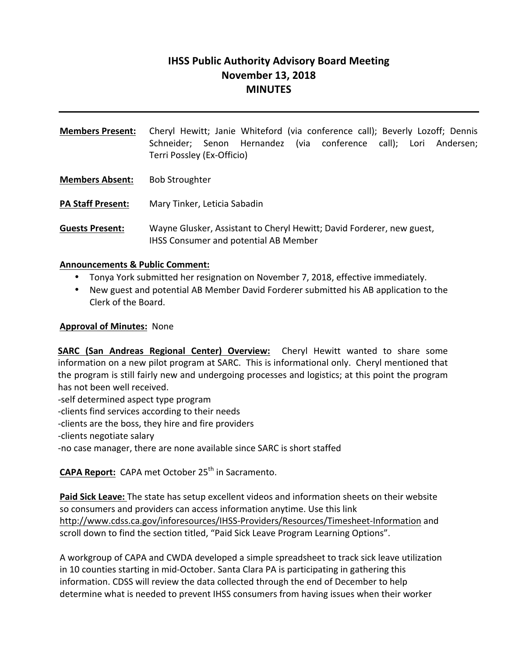# **IHSS Public Authority Advisory Board Meeting November 13, 2018 MINUTES**

**Members Present:** Cheryl Hewitt; Janie Whiteford (via conference call); Beverly Lozoff; Dennis Schneider; Senon Hernandez (via conference call); Lori Andersen; Terri Possley (Ex-Officio) **Members Absent:** Bob Stroughter **PA Staff Present:** Mary Tinker, Leticia Sabadin **Guests Present:** Wayne Glusker, Assistant to Cheryl Hewitt; David Forderer, new guest, IHSS Consumer and potential AB Member

#### **Announcements & Public Comment:**

- Tonya York submitted her resignation on November 7, 2018, effective immediately.
- New guest and potential AB Member David Forderer submitted his AB application to the Clerk of the Board.

#### **Approval of Minutes:** None

**SARC** (San Andreas Regional Center) Overview: Cheryl Hewitt wanted to share some information on a new pilot program at SARC. This is informational only. Cheryl mentioned that the program is still fairly new and undergoing processes and logistics; at this point the program has not been well received.

- -self determined aspect type program
- -clients find services according to their needs
- -clients are the boss, they hire and fire providers
- -clients negotiate salary

-no case manager, there are none available since SARC is short staffed

**CAPA Report:** CAPA met October 25<sup>th</sup> in Sacramento.

Paid Sick Leave: The state has setup excellent videos and information sheets on their website so consumers and providers can access information anytime. Use this link http://www.cdss.ca.gov/inforesources/IHSS-Providers/Resources/Timesheet-Information and scroll down to find the section titled, "Paid Sick Leave Program Learning Options".

A workgroup of CAPA and CWDA developed a simple spreadsheet to track sick leave utilization in 10 counties starting in mid-October. Santa Clara PA is participating in gathering this information. CDSS will review the data collected through the end of December to help determine what is needed to prevent IHSS consumers from having issues when their worker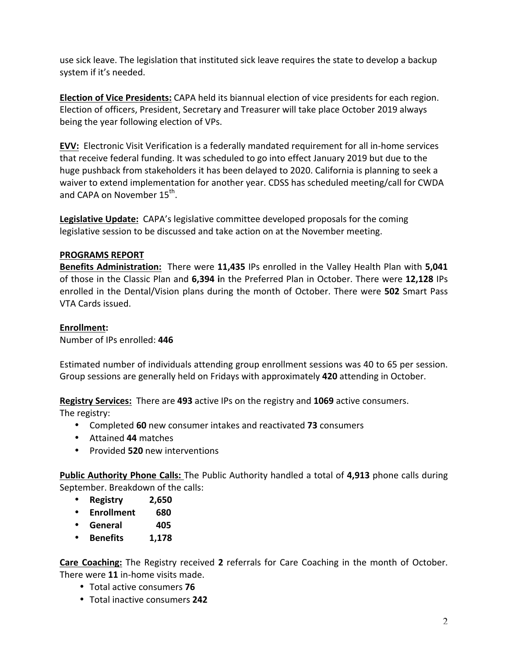use sick leave. The legislation that instituted sick leave requires the state to develop a backup system if it's needed.

**Election of Vice Presidents:** CAPA held its biannual election of vice presidents for each region. Election of officers, President, Secretary and Treasurer will take place October 2019 always being the year following election of VPs.

**EVV:** Electronic Visit Verification is a federally mandated requirement for all in-home services that receive federal funding. It was scheduled to go into effect January 2019 but due to the huge pushback from stakeholders it has been delayed to 2020. California is planning to seek a waiver to extend implementation for another year. CDSS has scheduled meeting/call for CWDA and CAPA on November  $15^{th}$ .

**Legislative Update:** CAPA's legislative committee developed proposals for the coming legislative session to be discussed and take action on at the November meeting.

### **PROGRAMS REPORT**

**Benefits Administration:** There were 11,435 IPs enrolled in the Valley Health Plan with 5,041 of those in the Classic Plan and 6,394 in the Preferred Plan in October. There were 12,128 IPs enrolled in the Dental/Vision plans during the month of October. There were **502** Smart Pass VTA Cards issued.

## **Enrollment:**

Number of IPs enrolled: **446**

Estimated number of individuals attending group enrollment sessions was 40 to 65 per session. Group sessions are generally held on Fridays with approximately 420 attending in October.

**Registry Services:** There are 493 active IPs on the registry and 1069 active consumers.

The registry:

- Completed 60 new consumer intakes and reactivated 73 consumers
- Attained **44** matches
- Provided 520 new interventions

**Public Authority Phone Calls:** The Public Authority handled a total of 4,913 phone calls during September. Breakdown of the calls:

- **Registry 2,650**
- **Enrollment 680**
- **General 405**
- **Benefits 1,178**

**Care Coaching:** The Registry received 2 referrals for Care Coaching in the month of October. There were 11 in-home visits made.

- Total active consumers **76**
- Total inactive consumers 242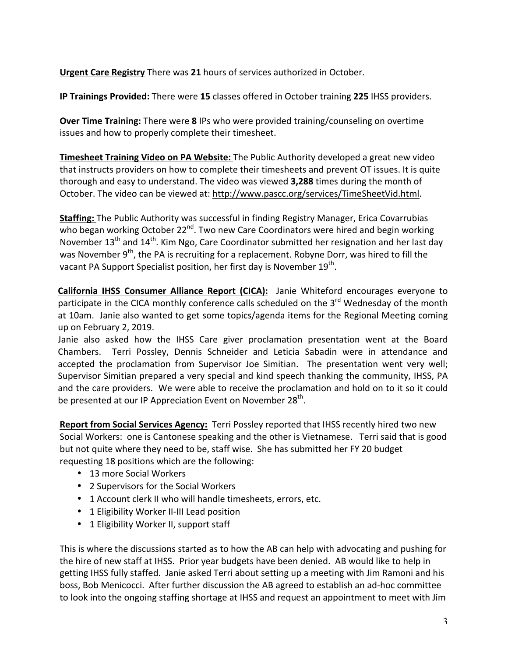**Urgent Care Registry** There was 21 hours of services authorized in October.

**IP Trainings Provided:** There were 15 classes offered in October training 225 IHSS providers.

**Over Time Training:** There were 8 IPs who were provided training/counseling on overtime issues and how to properly complete their timesheet.

**Timesheet Training Video on PA Website:** The Public Authority developed a great new video that instructs providers on how to complete their timesheets and prevent OT issues. It is quite thorough and easy to understand. The video was viewed 3,288 times during the month of October. The video can be viewed at: http://www.pascc.org/services/TimeSheetVid.html.

**Staffing:** The Public Authority was successful in finding Registry Manager, Erica Covarrubias who began working October  $22^{nd}$ . Two new Care Coordinators were hired and begin working November  $13<sup>th</sup>$  and  $14<sup>th</sup>$ . Kim Ngo, Care Coordinator submitted her resignation and her last day was November 9<sup>th</sup>, the PA is recruiting for a replacement. Robyne Dorr, was hired to fill the vacant PA Support Specialist position, her first day is November 19<sup>th</sup>.

California IHSS Consumer Alliance Report (CICA): Janie Whiteford encourages everyone to participate in the CICA monthly conference calls scheduled on the 3<sup>rd</sup> Wednesday of the month at 10am. Janie also wanted to get some topics/agenda items for the Regional Meeting coming up on February 2, 2019.

Janie also asked how the IHSS Care giver proclamation presentation went at the Board Chambers. Terri Possley, Dennis Schneider and Leticia Sabadin were in attendance and accepted the proclamation from Supervisor Joe Simitian. The presentation went very well; Supervisor Simitian prepared a very special and kind speech thanking the community, IHSS, PA and the care providers. We were able to receive the proclamation and hold on to it so it could be presented at our IP Appreciation Event on November 28<sup>th</sup>.

**Report from Social Services Agency:** Terri Possley reported that IHSS recently hired two new Social Workers: one is Cantonese speaking and the other is Vietnamese. Terri said that is good but not quite where they need to be, staff wise. She has submitted her FY 20 budget requesting 18 positions which are the following:

- 13 more Social Workers
- 2 Supervisors for the Social Workers
- 1 Account clerk II who will handle timesheets, errors, etc.
- 1 Eligibility Worker II-III Lead position
- 1 Eligibility Worker II, support staff

This is where the discussions started as to how the AB can help with advocating and pushing for the hire of new staff at IHSS. Prior year budgets have been denied. AB would like to help in getting IHSS fully staffed. Janie asked Terri about setting up a meeting with Jim Ramoni and his boss, Bob Menicocci. After further discussion the AB agreed to establish an ad-hoc committee to look into the ongoing staffing shortage at IHSS and request an appointment to meet with Jim